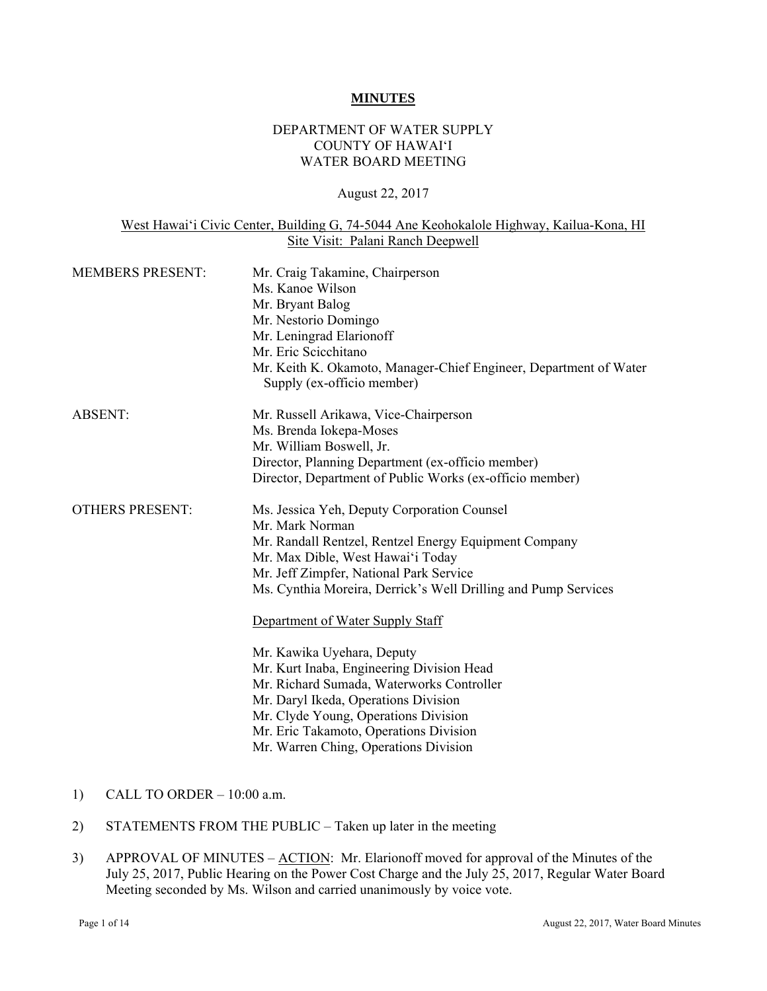#### **MINUTES**

### DEPARTMENT OF WATER SUPPLY COUNTY OF HAWAI'I WATER BOARD MEETING

## August 22, 2017

#### West Hawai'i Civic Center, Building G, 74-5044 Ane Keohokalole Highway, Kailua-Kona, HI Site Visit: Palani Ranch Deepwell

| <b>MEMBERS PRESENT:</b> | Mr. Craig Takamine, Chairperson<br>Ms. Kanoe Wilson<br>Mr. Bryant Balog<br>Mr. Nestorio Domingo<br>Mr. Leningrad Elarionoff<br>Mr. Eric Scicchitano<br>Mr. Keith K. Okamoto, Manager-Chief Engineer, Department of Water<br>Supply (ex-officio member)                                                                      |
|-------------------------|-----------------------------------------------------------------------------------------------------------------------------------------------------------------------------------------------------------------------------------------------------------------------------------------------------------------------------|
| <b>ABSENT:</b>          | Mr. Russell Arikawa, Vice-Chairperson<br>Ms. Brenda Iokepa-Moses<br>Mr. William Boswell, Jr.<br>Director, Planning Department (ex-officio member)<br>Director, Department of Public Works (ex-officio member)                                                                                                               |
| <b>OTHERS PRESENT:</b>  | Ms. Jessica Yeh, Deputy Corporation Counsel<br>Mr. Mark Norman<br>Mr. Randall Rentzel, Rentzel Energy Equipment Company<br>Mr. Max Dible, West Hawai'i Today<br>Mr. Jeff Zimpfer, National Park Service<br>Ms. Cynthia Moreira, Derrick's Well Drilling and Pump Services                                                   |
|                         | Department of Water Supply Staff<br>Mr. Kawika Uyehara, Deputy<br>Mr. Kurt Inaba, Engineering Division Head<br>Mr. Richard Sumada, Waterworks Controller<br>Mr. Daryl Ikeda, Operations Division<br>Mr. Clyde Young, Operations Division<br>Mr. Eric Takamoto, Operations Division<br>Mr. Warren Ching, Operations Division |

- 1) CALL TO ORDER  $-10:00$  a.m.
- 2) STATEMENTS FROM THE PUBLIC Taken up later in the meeting
- 3) APPROVAL OF MINUTES ACTION: Mr. Elarionoff moved for approval of the Minutes of the July 25, 2017, Public Hearing on the Power Cost Charge and the July 25, 2017, Regular Water Board Meeting seconded by Ms. Wilson and carried unanimously by voice vote.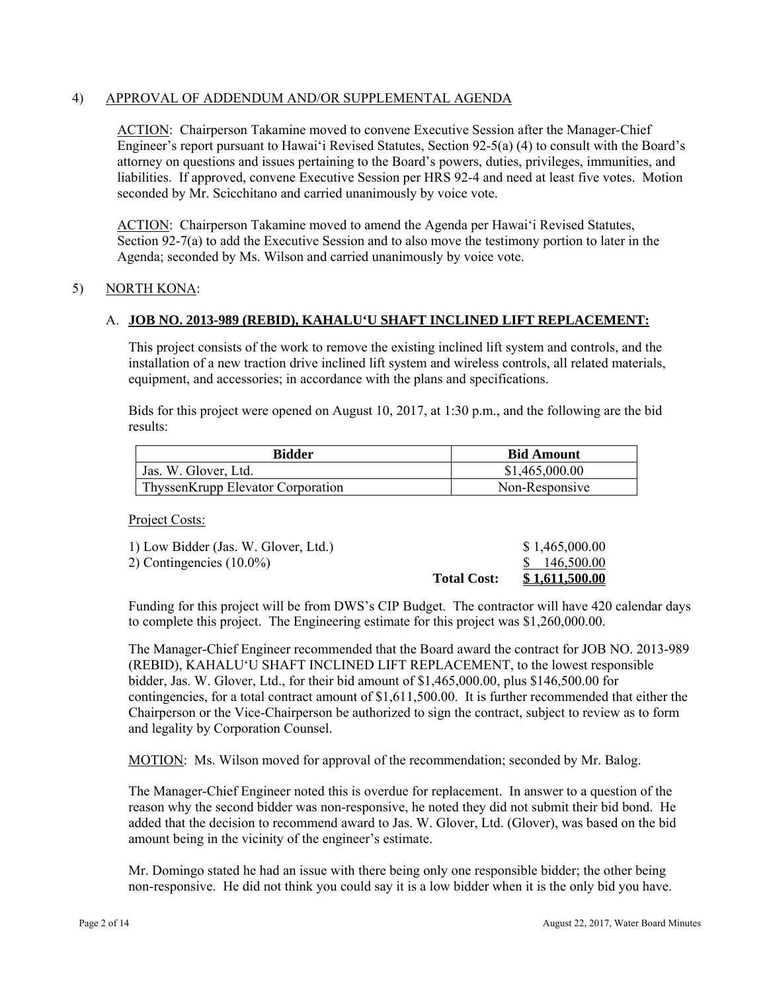### 4) APPROVAL OF ADDENDUM AND/OR SUPPLEMENTAL AGENDA

ACTION: Chairperson Takamine moved to convene Executive Session after the Manager-Chief Engineer's report pursuant to Hawai'i Revised Statutes, Section 92-5(a) (4) to consult with the Board's attorney on questions and issues pertaining to the Board's powers, duties, privileges, immunities, and liabilities. If approved, convene Executive Session per HRS 92-4 and need at least five votes. Motion seconded by Mr. Scicchitano and carried unanimously by voice vote.

ACTION: Chairperson Takamine moved to amend the Agenda per Hawai'i Revised Statutes, Section 92-7(a) to add the Executive Session and to also move the testimony portion to later in the Agenda; seconded by Ms. Wilson and carried unanimously by voice vote.

## 5) NORTH KONA:

## A. **JOB NO. 2013-989 (REBID), KAHALU'U SHAFT INCLINED LIFT REPLACEMENT:**

This project consists of the work to remove the existing inclined lift system and controls, and the installation of a new traction drive inclined lift system and wireless controls, all related materials, equipment, and accessories; in accordance with the plans and specifications.

Bids for this project were opened on August 10, 2017, at 1:30 p.m., and the following are the bid results:

| Bidder                            | <b>Bid Amount</b> |  |
|-----------------------------------|-------------------|--|
| Jas. W. Glover, Ltd.              | \$1,465,000.00    |  |
| ThyssenKrupp Elevator Corporation | Non-Responsive    |  |

Project Costs:

|                                      | <b>Total Cost:</b> | \$1.611,500.00 |
|--------------------------------------|--------------------|----------------|
| 2) Contingencies $(10.0\%)$          |                    | \$146,500.00   |
| 1) Low Bidder (Jas. W. Glover, Ltd.) |                    | \$1,465,000.00 |

Funding for this project will be from DWS's CIP Budget. The contractor will have 420 calendar days to complete this project. The Engineering estimate for this project was \$1,260,000.00.

The Manager-Chief Engineer recommended that the Board award the contract for JOB NO. 2013-989 (REBID), KAHALU'U SHAFT INCLINED LIFT REPLACEMENT, to the lowest responsible bidder, Jas. W. Glover, Ltd., for their bid amount of \$1,465,000.00, plus \$146,500.00 for contingencies, for a total contract amount of \$1,611,500.00. It is further recommended that either the Chairperson or the Vice-Chairperson be authorized to sign the contract, subject to review as to form and legality by Corporation Counsel.

MOTION: Ms. Wilson moved for approval of the recommendation; seconded by Mr. Balog.

The Manager-Chief Engineer noted this is overdue for replacement. In answer to a question of the reason why the second bidder was non-responsive, he noted they did not submit their bid bond. He added that the decision to recommend award to Jas. W. Glover, Ltd. (Glover), was based on the bid amount being in the vicinity of the engineer's estimate.

 non-responsive. He did not think you could say it is a low bidder when it is the only bid you have. Mr. Domingo stated he had an issue with there being only one responsible bidder; the other being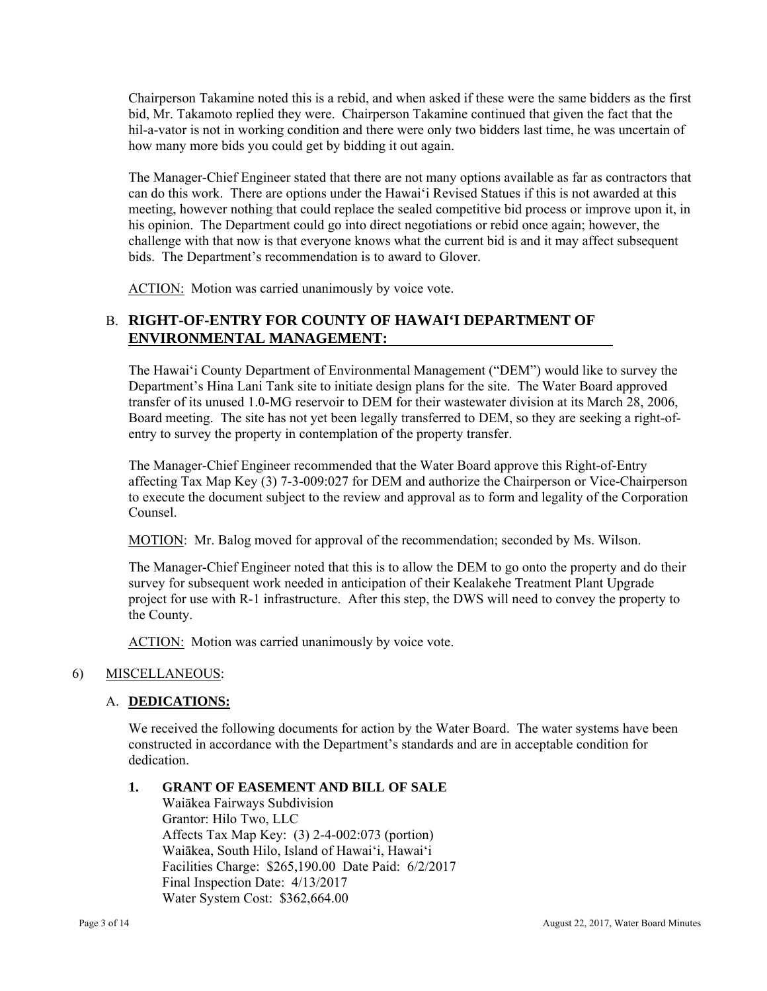Chairperson Takamine noted this is a rebid, and when asked if these were the same bidders as the first bid, Mr. Takamoto replied they were. Chairperson Takamine continued that given the fact that the hil-a-vator is not in working condition and there were only two bidders last time, he was uncertain of how many more bids you could get by bidding it out again.

The Manager-Chief Engineer stated that there are not many options available as far as contractors that can do this work. There are options under the Hawai'i Revised Statues if this is not awarded at this meeting, however nothing that could replace the sealed competitive bid process or improve upon it, in his opinion. The Department could go into direct negotiations or rebid once again; however, the challenge with that now is that everyone knows what the current bid is and it may affect subsequent bids. The Department's recommendation is to award to Glover.

ACTION: Motion was carried unanimously by voice vote.

# **ENVIRONMENTAL MANAGEMENT:**  B. **RIGHT-OF-ENTRY FOR COUNTY OF HAWAI'I DEPARTMENT OF**

The Hawai'i County Department of Environmental Management ("DEM") would like to survey the Department's Hina Lani Tank site to initiate design plans for the site. The Water Board approved transfer of its unused 1.0-MG reservoir to DEM for their wastewater division at its March 28, 2006, Board meeting. The site has not yet been legally transferred to DEM, so they are seeking a right-ofentry to survey the property in contemplation of the property transfer.

The Manager-Chief Engineer recommended that the Water Board approve this Right-of-Entry affecting Tax Map Key (3) 7-3-009:027 for DEM and authorize the Chairperson or Vice-Chairperson to execute the document subject to the review and approval as to form and legality of the Corporation Counsel.

MOTION: Mr. Balog moved for approval of the recommendation; seconded by Ms. Wilson.

The Manager-Chief Engineer noted that this is to allow the DEM to go onto the property and do their survey for subsequent work needed in anticipation of their Kealakehe Treatment Plant Upgrade project for use with R-1 infrastructure. After this step, the DWS will need to convey the property to the County.

ACTION: Motion was carried unanimously by voice vote.

## 6) MISCELLANEOUS:

## A. **DEDICATIONS:**

We received the following documents for action by the Water Board. The water systems have been constructed in accordance with the Department's standards and are in acceptable condition for dedication.

### **1. GRANT OF EASEMENT AND BILL OF SALE**

Waiākea Fairways Subdivision Grantor: Hilo Two, LLC Affects Tax Map Key: (3) 2-4-002:073 (portion) Waiākea, South Hilo, Island of Hawai'i, Hawai'i Facilities Charge: \$265,190.00 Date Paid: 6/2/2017 Final Inspection Date: 4/13/2017 Water System Cost: \$362,664.00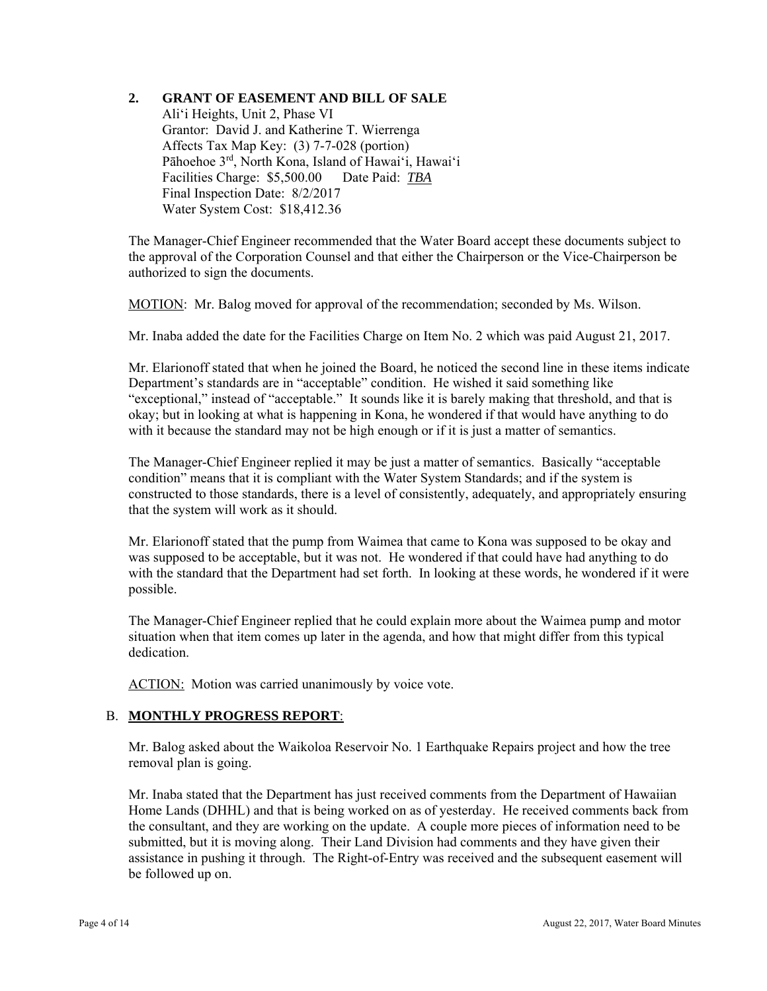## **2. GRANT OF EASEMENT AND BILL OF SALE**

Ali'i Heights, Unit 2, Phase VI Grantor: David J. and Katherine T. Wierrenga Affects Tax Map Key: (3) 7-7-028 (portion) Pāhoehoe 3rd, North Kona, Island of Hawai'i, Hawai'i Facilities Charge: \$5,500.00 Date Paid: *TBA*  Final Inspection Date: 8/2/2017 Water System Cost: \$18,412.36

The Manager-Chief Engineer recommended that the Water Board accept these documents subject to the approval of the Corporation Counsel and that either the Chairperson or the Vice-Chairperson be authorized to sign the documents.

MOTION: Mr. Balog moved for approval of the recommendation; seconded by Ms. Wilson.

Mr. Inaba added the date for the Facilities Charge on Item No. 2 which was paid August 21, 2017.

Mr. Elarionoff stated that when he joined the Board, he noticed the second line in these items indicate Department's standards are in "acceptable" condition. He wished it said something like "exceptional," instead of "acceptable." It sounds like it is barely making that threshold, and that is okay; but in looking at what is happening in Kona, he wondered if that would have anything to do with it because the standard may not be high enough or if it is just a matter of semantics.

The Manager-Chief Engineer replied it may be just a matter of semantics. Basically "acceptable condition" means that it is compliant with the Water System Standards; and if the system is constructed to those standards, there is a level of consistently, adequately, and appropriately ensuring that the system will work as it should.

Mr. Elarionoff stated that the pump from Waimea that came to Kona was supposed to be okay and was supposed to be acceptable, but it was not. He wondered if that could have had anything to do with the standard that the Department had set forth. In looking at these words, he wondered if it were possible.

The Manager-Chief Engineer replied that he could explain more about the Waimea pump and motor situation when that item comes up later in the agenda, and how that might differ from this typical dedication.

ACTION: Motion was carried unanimously by voice vote.

### B. **MONTHLY PROGRESS REPORT**:

Mr. Balog asked about the Waikoloa Reservoir No. 1 Earthquake Repairs project and how the tree removal plan is going.

Mr. Inaba stated that the Department has just received comments from the Department of Hawaiian Home Lands (DHHL) and that is being worked on as of yesterday. He received comments back from the consultant, and they are working on the update. A couple more pieces of information need to be submitted, but it is moving along. Their Land Division had comments and they have given their assistance in pushing it through. The Right-of-Entry was received and the subsequent easement will be followed up on.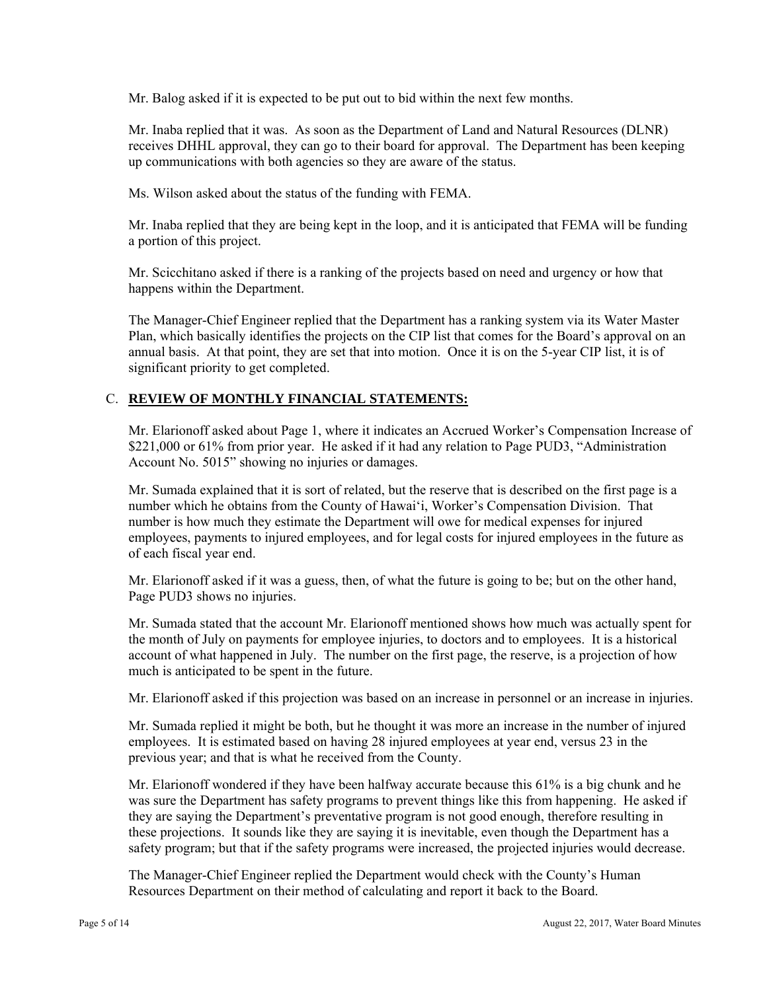Mr. Balog asked if it is expected to be put out to bid within the next few months.

Mr. Inaba replied that it was. As soon as the Department of Land and Natural Resources (DLNR) receives DHHL approval, they can go to their board for approval. The Department has been keeping up communications with both agencies so they are aware of the status.

Ms. Wilson asked about the status of the funding with FEMA.

Mr. Inaba replied that they are being kept in the loop, and it is anticipated that FEMA will be funding a portion of this project.

Mr. Scicchitano asked if there is a ranking of the projects based on need and urgency or how that happens within the Department.

The Manager-Chief Engineer replied that the Department has a ranking system via its Water Master Plan, which basically identifies the projects on the CIP list that comes for the Board's approval on an annual basis. At that point, they are set that into motion. Once it is on the 5-year CIP list, it is of significant priority to get completed.

### C. **REVIEW OF MONTHLY FINANCIAL STATEMENTS:**

Mr. Elarionoff asked about Page 1, where it indicates an Accrued Worker's Compensation Increase of \$221,000 or 61% from prior year. He asked if it had any relation to Page PUD3, "Administration Account No. 5015" showing no injuries or damages.

Mr. Sumada explained that it is sort of related, but the reserve that is described on the first page is a number which he obtains from the County of Hawai'i, Worker's Compensation Division. That number is how much they estimate the Department will owe for medical expenses for injured employees, payments to injured employees, and for legal costs for injured employees in the future as of each fiscal year end.

Mr. Elarionoff asked if it was a guess, then, of what the future is going to be; but on the other hand, Page PUD3 shows no injuries.

Mr. Sumada stated that the account Mr. Elarionoff mentioned shows how much was actually spent for the month of July on payments for employee injuries, to doctors and to employees. It is a historical account of what happened in July. The number on the first page, the reserve, is a projection of how much is anticipated to be spent in the future.

Mr. Elarionoff asked if this projection was based on an increase in personnel or an increase in injuries.

Mr. Sumada replied it might be both, but he thought it was more an increase in the number of injured employees. It is estimated based on having 28 injured employees at year end, versus 23 in the previous year; and that is what he received from the County.

Mr. Elarionoff wondered if they have been halfway accurate because this 61% is a big chunk and he was sure the Department has safety programs to prevent things like this from happening. He asked if they are saying the Department's preventative program is not good enough, therefore resulting in these projections. It sounds like they are saying it is inevitable, even though the Department has a safety program; but that if the safety programs were increased, the projected injuries would decrease.

The Manager-Chief Engineer replied the Department would check with the County's Human Resources Department on their method of calculating and report it back to the Board.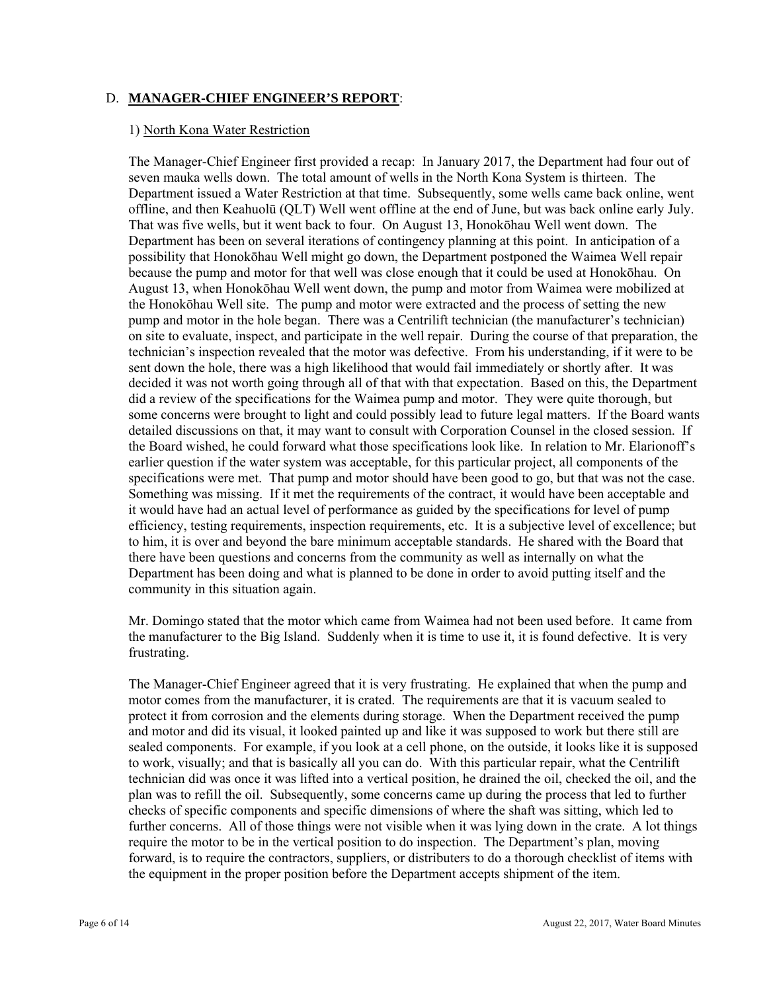### D. **MANAGER-CHIEF ENGINEER'S REPORT**:

#### 1) North Kona Water Restriction

 Department has been on several iterations of contingency planning at this point. In anticipation of a The Manager-Chief Engineer first provided a recap: In January 2017, the Department had four out of seven mauka wells down. The total amount of wells in the North Kona System is thirteen. The Department issued a Water Restriction at that time. Subsequently, some wells came back online, went offline, and then Keahuolū (QLT) Well went offline at the end of June, but was back online early July. That was five wells, but it went back to four. On August 13, Honokōhau Well went down. The possibility that Honokōhau Well might go down, the Department postponed the Waimea Well repair because the pump and motor for that well was close enough that it could be used at Honokōhau. On August 13, when Honokōhau Well went down, the pump and motor from Waimea were mobilized at the Honokōhau Well site. The pump and motor were extracted and the process of setting the new pump and motor in the hole began. There was a Centrilift technician (the manufacturer's technician) on site to evaluate, inspect, and participate in the well repair. During the course of that preparation, the technician's inspection revealed that the motor was defective. From his understanding, if it were to be sent down the hole, there was a high likelihood that would fail immediately or shortly after. It was decided it was not worth going through all of that with that expectation. Based on this, the Department did a review of the specifications for the Waimea pump and motor. They were quite thorough, but some concerns were brought to light and could possibly lead to future legal matters. If the Board wants detailed discussions on that, it may want to consult with Corporation Counsel in the closed session. If the Board wished, he could forward what those specifications look like. In relation to Mr. Elarionoff's earlier question if the water system was acceptable, for this particular project, all components of the specifications were met. That pump and motor should have been good to go, but that was not the case. Something was missing. If it met the requirements of the contract, it would have been acceptable and it would have had an actual level of performance as guided by the specifications for level of pump efficiency, testing requirements, inspection requirements, etc. It is a subjective level of excellence; but to him, it is over and beyond the bare minimum acceptable standards. He shared with the Board that there have been questions and concerns from the community as well as internally on what the Department has been doing and what is planned to be done in order to avoid putting itself and the community in this situation again.

Mr. Domingo stated that the motor which came from Waimea had not been used before. It came from the manufacturer to the Big Island. Suddenly when it is time to use it, it is found defective. It is very frustrating.

The Manager-Chief Engineer agreed that it is very frustrating. He explained that when the pump and motor comes from the manufacturer, it is crated. The requirements are that it is vacuum sealed to protect it from corrosion and the elements during storage. When the Department received the pump and motor and did its visual, it looked painted up and like it was supposed to work but there still are sealed components. For example, if you look at a cell phone, on the outside, it looks like it is supposed to work, visually; and that is basically all you can do. With this particular repair, what the Centrilift technician did was once it was lifted into a vertical position, he drained the oil, checked the oil, and the plan was to refill the oil. Subsequently, some concerns came up during the process that led to further checks of specific components and specific dimensions of where the shaft was sitting, which led to further concerns. All of those things were not visible when it was lying down in the crate. A lot things require the motor to be in the vertical position to do inspection. The Department's plan, moving forward, is to require the contractors, suppliers, or distributers to do a thorough checklist of items with the equipment in the proper position before the Department accepts shipment of the item.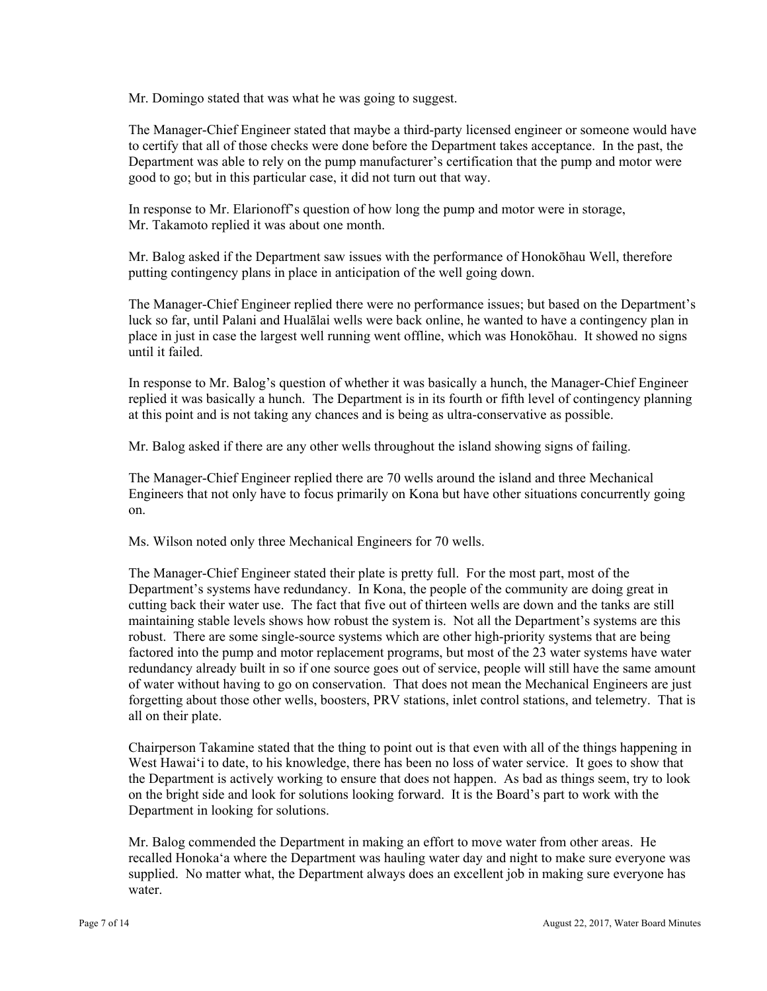Mr. Domingo stated that was what he was going to suggest.

The Manager-Chief Engineer stated that maybe a third-party licensed engineer or someone would have to certify that all of those checks were done before the Department takes acceptance. In the past, the Department was able to rely on the pump manufacturer's certification that the pump and motor were good to go; but in this particular case, it did not turn out that way.

In response to Mr. Elarionoff's question of how long the pump and motor were in storage, Mr. Takamoto replied it was about one month.

Mr. Balog asked if the Department saw issues with the performance of Honokōhau Well, therefore putting contingency plans in place in anticipation of the well going down.

The Manager-Chief Engineer replied there were no performance issues; but based on the Department's luck so far, until Palani and Hualālai wells were back online, he wanted to have a contingency plan in place in just in case the largest well running went offline, which was Honokōhau. It showed no signs until it failed.

 replied it was basically a hunch. The Department is in its fourth or fifth level of contingency planning In response to Mr. Balog's question of whether it was basically a hunch, the Manager-Chief Engineer at this point and is not taking any chances and is being as ultra-conservative as possible.

Mr. Balog asked if there are any other wells throughout the island showing signs of failing.

The Manager-Chief Engineer replied there are 70 wells around the island and three Mechanical Engineers that not only have to focus primarily on Kona but have other situations concurrently going on.

Ms. Wilson noted only three Mechanical Engineers for 70 wells.

The Manager-Chief Engineer stated their plate is pretty full. For the most part, most of the Department's systems have redundancy. In Kona, the people of the community are doing great in cutting back their water use. The fact that five out of thirteen wells are down and the tanks are still maintaining stable levels shows how robust the system is. Not all the Department's systems are this robust. There are some single-source systems which are other high-priority systems that are being factored into the pump and motor replacement programs, but most of the 23 water systems have water redundancy already built in so if one source goes out of service, people will still have the same amount of water without having to go on conservation. That does not mean the Mechanical Engineers are just forgetting about those other wells, boosters, PRV stations, inlet control stations, and telemetry. That is all on their plate.

 the Department is actively working to ensure that does not happen. As bad as things seem, try to look Chairperson Takamine stated that the thing to point out is that even with all of the things happening in West Hawai'i to date, to his knowledge, there has been no loss of water service. It goes to show that on the bright side and look for solutions looking forward. It is the Board's part to work with the Department in looking for solutions.

Mr. Balog commended the Department in making an effort to move water from other areas. He recalled Honoka'a where the Department was hauling water day and night to make sure everyone was supplied. No matter what, the Department always does an excellent job in making sure everyone has water.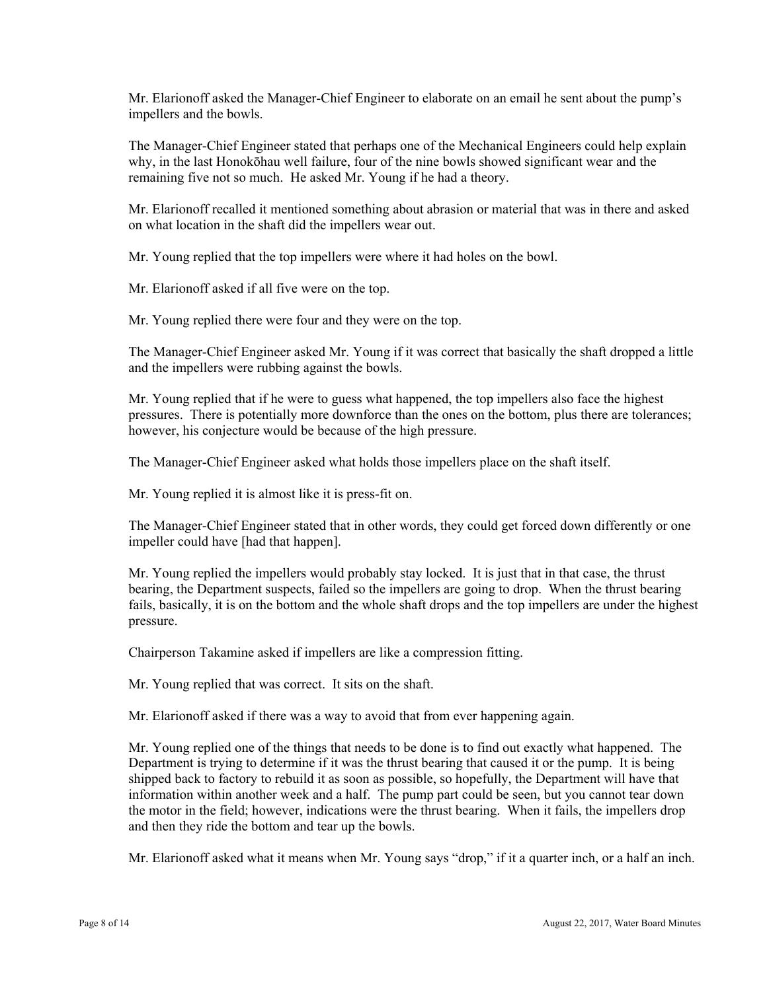Mr. Elarionoff asked the Manager-Chief Engineer to elaborate on an email he sent about the pump's impellers and the bowls.

The Manager-Chief Engineer stated that perhaps one of the Mechanical Engineers could help explain why, in the last Honokōhau well failure, four of the nine bowls showed significant wear and the remaining five not so much. He asked Mr. Young if he had a theory.

Mr. Elarionoff recalled it mentioned something about abrasion or material that was in there and asked on what location in the shaft did the impellers wear out.

Mr. Young replied that the top impellers were where it had holes on the bowl.

Mr. Elarionoff asked if all five were on the top.

Mr. Young replied there were four and they were on the top.

The Manager-Chief Engineer asked Mr. Young if it was correct that basically the shaft dropped a little and the impellers were rubbing against the bowls.

Mr. Young replied that if he were to guess what happened, the top impellers also face the highest pressures. There is potentially more downforce than the ones on the bottom, plus there are tolerances; however, his conjecture would be because of the high pressure.

The Manager-Chief Engineer asked what holds those impellers place on the shaft itself.

Mr. Young replied it is almost like it is press-fit on.

The Manager-Chief Engineer stated that in other words, they could get forced down differently or one impeller could have [had that happen].

Mr. Young replied the impellers would probably stay locked. It is just that in that case, the thrust bearing, the Department suspects, failed so the impellers are going to drop. When the thrust bearing fails, basically, it is on the bottom and the whole shaft drops and the top impellers are under the highest pressure.

Chairperson Takamine asked if impellers are like a compression fitting.

Mr. Young replied that was correct. It sits on the shaft.

Mr. Elarionoff asked if there was a way to avoid that from ever happening again.

Mr. Young replied one of the things that needs to be done is to find out exactly what happened. The Department is trying to determine if it was the thrust bearing that caused it or the pump. It is being shipped back to factory to rebuild it as soon as possible, so hopefully, the Department will have that information within another week and a half. The pump part could be seen, but you cannot tear down the motor in the field; however, indications were the thrust bearing. When it fails, the impellers drop and then they ride the bottom and tear up the bowls.

Mr. Elarionoff asked what it means when Mr. Young says "drop," if it a quarter inch, or a half an inch.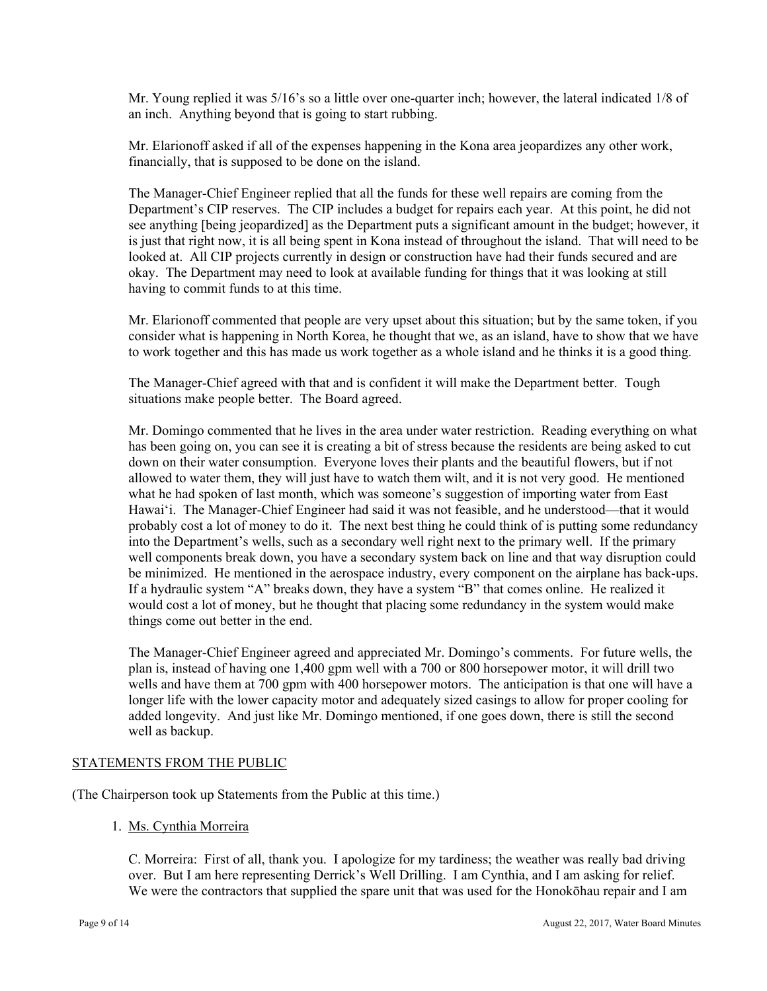Mr. Young replied it was 5/16's so a little over one-quarter inch; however, the lateral indicated 1/8 of an inch. Anything beyond that is going to start rubbing.

Mr. Elarionoff asked if all of the expenses happening in the Kona area jeopardizes any other work, financially, that is supposed to be done on the island.

The Manager-Chief Engineer replied that all the funds for these well repairs are coming from the Department's CIP reserves. The CIP includes a budget for repairs each year. At this point, he did not see anything [being jeopardized] as the Department puts a significant amount in the budget; however, it is just that right now, it is all being spent in Kona instead of throughout the island. That will need to be looked at. All CIP projects currently in design or construction have had their funds secured and are okay. The Department may need to look at available funding for things that it was looking at still having to commit funds to at this time.

Mr. Elarionoff commented that people are very upset about this situation; but by the same token, if you consider what is happening in North Korea, he thought that we, as an island, have to show that we have to work together and this has made us work together as a whole island and he thinks it is a good thing.

The Manager-Chief agreed with that and is confident it will make the Department better. Tough situations make people better. The Board agreed.

Mr. Domingo commented that he lives in the area under water restriction. Reading everything on what has been going on, you can see it is creating a bit of stress because the residents are being asked to cut down on their water consumption. Everyone loves their plants and the beautiful flowers, but if not allowed to water them, they will just have to watch them wilt, and it is not very good. He mentioned what he had spoken of last month, which was someone's suggestion of importing water from East Hawai'i. The Manager-Chief Engineer had said it was not feasible, and he understood—that it would probably cost a lot of money to do it. The next best thing he could think of is putting some redundancy into the Department's wells, such as a secondary well right next to the primary well. If the primary well components break down, you have a secondary system back on line and that way disruption could be minimized. He mentioned in the aerospace industry, every component on the airplane has back-ups. If a hydraulic system "A" breaks down, they have a system "B" that comes online. He realized it would cost a lot of money, but he thought that placing some redundancy in the system would make things come out better in the end.

The Manager-Chief Engineer agreed and appreciated Mr. Domingo's comments. For future wells, the plan is, instead of having one 1,400 gpm well with a 700 or 800 horsepower motor, it will drill two wells and have them at 700 gpm with 400 horsepower motors. The anticipation is that one will have a longer life with the lower capacity motor and adequately sized casings to allow for proper cooling for added longevity. And just like Mr. Domingo mentioned, if one goes down, there is still the second well as backup.

#### STATEMENTS FROM THE PUBLIC

(The Chairperson took up Statements from the Public at this time.)

#### 1. Ms. Cynthia Morreira

C. Morreira: First of all, thank you. I apologize for my tardiness; the weather was really bad driving over. But I am here representing Derrick's Well Drilling. I am Cynthia, and I am asking for relief. We were the contractors that supplied the spare unit that was used for the Honokōhau repair and I am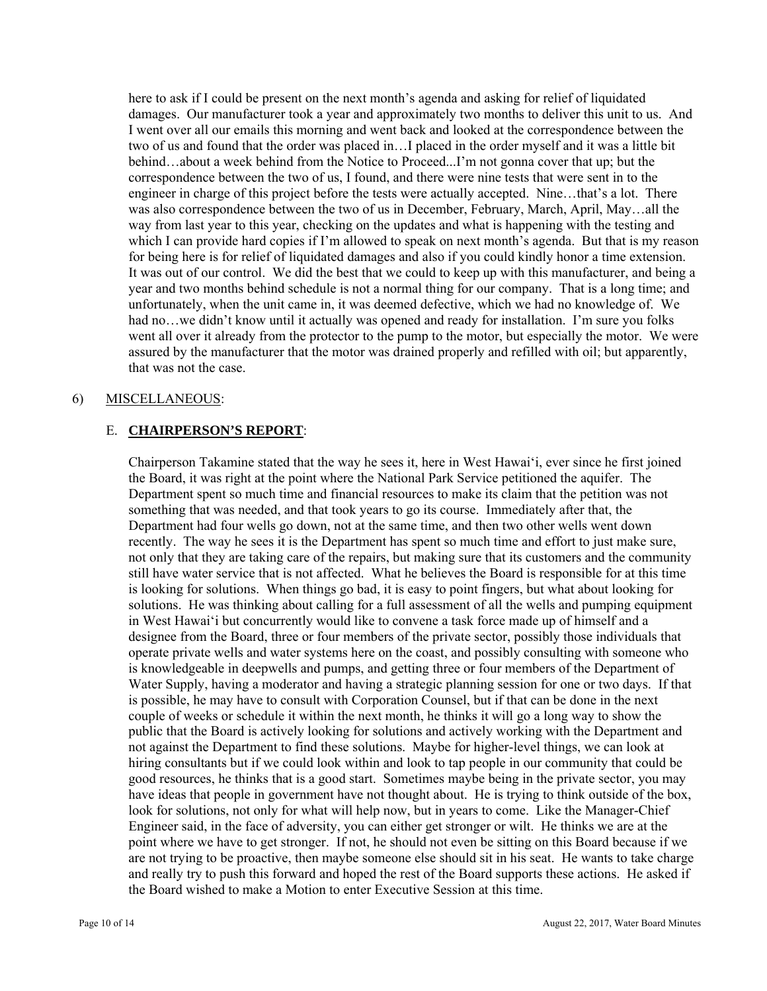here to ask if I could be present on the next month's agenda and asking for relief of liquidated damages. Our manufacturer took a year and approximately two months to deliver this unit to us. And I went over all our emails this morning and went back and looked at the correspondence between the two of us and found that the order was placed in…I placed in the order myself and it was a little bit behind…about a week behind from the Notice to Proceed...I'm not gonna cover that up; but the correspondence between the two of us, I found, and there were nine tests that were sent in to the engineer in charge of this project before the tests were actually accepted. Nine…that's a lot. There was also correspondence between the two of us in December, February, March, April, May…all the way from last year to this year, checking on the updates and what is happening with the testing and which I can provide hard copies if I'm allowed to speak on next month's agenda. But that is my reason for being here is for relief of liquidated damages and also if you could kindly honor a time extension. It was out of our control. We did the best that we could to keep up with this manufacturer, and being a year and two months behind schedule is not a normal thing for our company. That is a long time; and unfortunately, when the unit came in, it was deemed defective, which we had no knowledge of. We had no…we didn't know until it actually was opened and ready for installation. I'm sure you folks went all over it already from the protector to the pump to the motor, but especially the motor. We were assured by the manufacturer that the motor was drained properly and refilled with oil; but apparently, that was not the case.

### 6) MISCELLANEOUS:

### E. **CHAIRPERSON'S REPORT**:

Chairperson Takamine stated that the way he sees it, here in West Hawai'i, ever since he first joined the Board, it was right at the point where the National Park Service petitioned the aquifer. The Department spent so much time and financial resources to make its claim that the petition was not something that was needed, and that took years to go its course. Immediately after that, the Department had four wells go down, not at the same time, and then two other wells went down recently. The way he sees it is the Department has spent so much time and effort to just make sure, not only that they are taking care of the repairs, but making sure that its customers and the community still have water service that is not affected. What he believes the Board is responsible for at this time is looking for solutions. When things go bad, it is easy to point fingers, but what about looking for solutions. He was thinking about calling for a full assessment of all the wells and pumping equipment in West Hawai'i but concurrently would like to convene a task force made up of himself and a designee from the Board, three or four members of the private sector, possibly those individuals that operate private wells and water systems here on the coast, and possibly consulting with someone who is knowledgeable in deepwells and pumps, and getting three or four members of the Department of Water Supply, having a moderator and having a strategic planning session for one or two days. If that is possible, he may have to consult with Corporation Counsel, but if that can be done in the next couple of weeks or schedule it within the next month, he thinks it will go a long way to show the public that the Board is actively looking for solutions and actively working with the Department and not against the Department to find these solutions. Maybe for higher-level things, we can look at hiring consultants but if we could look within and look to tap people in our community that could be good resources, he thinks that is a good start. Sometimes maybe being in the private sector, you may have ideas that people in government have not thought about. He is trying to think outside of the box, look for solutions, not only for what will help now, but in years to come. Like the Manager-Chief Engineer said, in the face of adversity, you can either get stronger or wilt. He thinks we are at the point where we have to get stronger. If not, he should not even be sitting on this Board because if we are not trying to be proactive, then maybe someone else should sit in his seat. He wants to take charge and really try to push this forward and hoped the rest of the Board supports these actions. He asked if the Board wished to make a Motion to enter Executive Session at this time.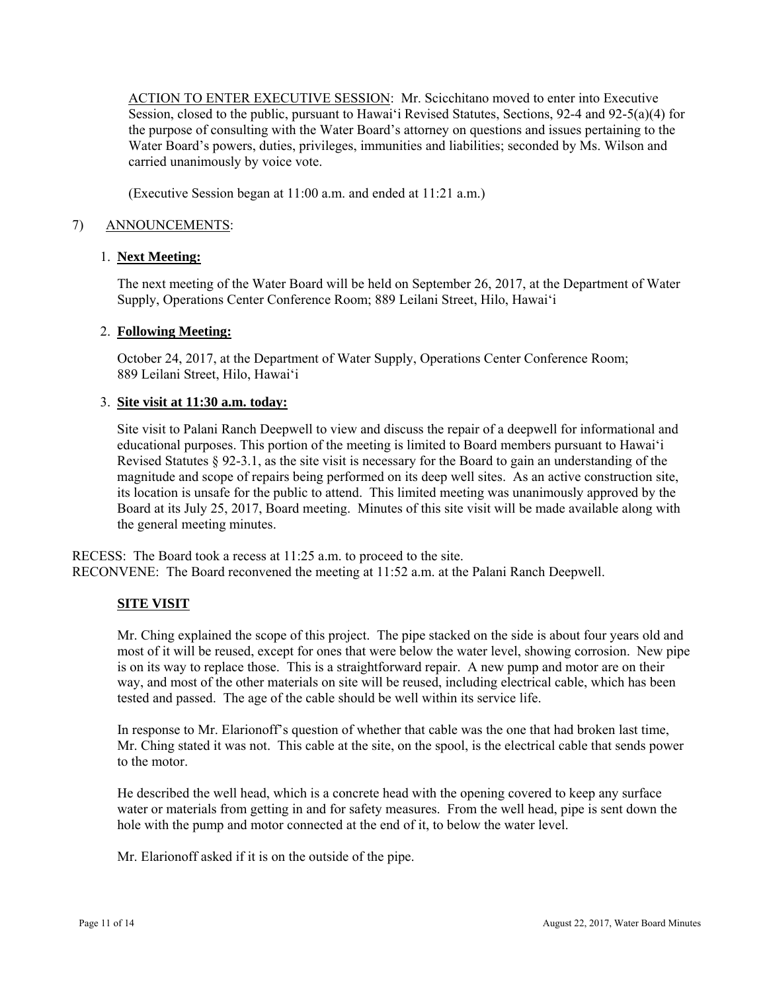ACTION TO ENTER EXECUTIVE SESSION: Mr. Scicchitano moved to enter into Executive Session, closed to the public, pursuant to Hawai'i Revised Statutes, Sections, 92-4 and 92-5(a)(4) for the purpose of consulting with the Water Board's attorney on questions and issues pertaining to the Water Board's powers, duties, privileges, immunities and liabilities; seconded by Ms. Wilson and carried unanimously by voice vote.

(Executive Session began at 11:00 a.m. and ended at 11:21 a.m.)

### 7) ANNOUNCEMENTS:

## 1. **Next Meeting:**

The next meeting of the Water Board will be held on September 26, 2017, at the Department of Water Supply, Operations Center Conference Room; 889 Leilani Street, Hilo, Hawai'i

### 2. **Following Meeting:**

October 24, 2017, at the Department of Water Supply, Operations Center Conference Room; 889 Leilani Street, Hilo, Hawai'i

### 3. **Site visit at 11:30 a.m. today:**

Site visit to Palani Ranch Deepwell to view and discuss the repair of a deepwell for informational and educational purposes. This portion of the meeting is limited to Board members pursuant to Hawai'i Revised Statutes § 92-3.1, as the site visit is necessary for the Board to gain an understanding of the magnitude and scope of repairs being performed on its deep well sites. As an active construction site, its location is unsafe for the public to attend. This limited meeting was unanimously approved by the Board at its July 25, 2017, Board meeting. Minutes of this site visit will be made available along with the general meeting minutes.

RECESS: The Board took a recess at 11:25 a.m. to proceed to the site. RECONVENE: The Board reconvened the meeting at 11:52 a.m. at the Palani Ranch Deepwell.

### **SITE VISIT**

Mr. Ching explained the scope of this project. The pipe stacked on the side is about four years old and most of it will be reused, except for ones that were below the water level, showing corrosion. New pipe is on its way to replace those. This is a straightforward repair. A new pump and motor are on their way, and most of the other materials on site will be reused, including electrical cable, which has been tested and passed. The age of the cable should be well within its service life.

In response to Mr. Elarionoff's question of whether that cable was the one that had broken last time, Mr. Ching stated it was not. This cable at the site, on the spool, is the electrical cable that sends power to the motor.

 hole with the pump and motor connected at the end of it, to below the water level. Mr. Elarionoff asked if it is on the outside of the pipe. He described the well head, which is a concrete head with the opening covered to keep any surface water or materials from getting in and for safety measures. From the well head, pipe is sent down the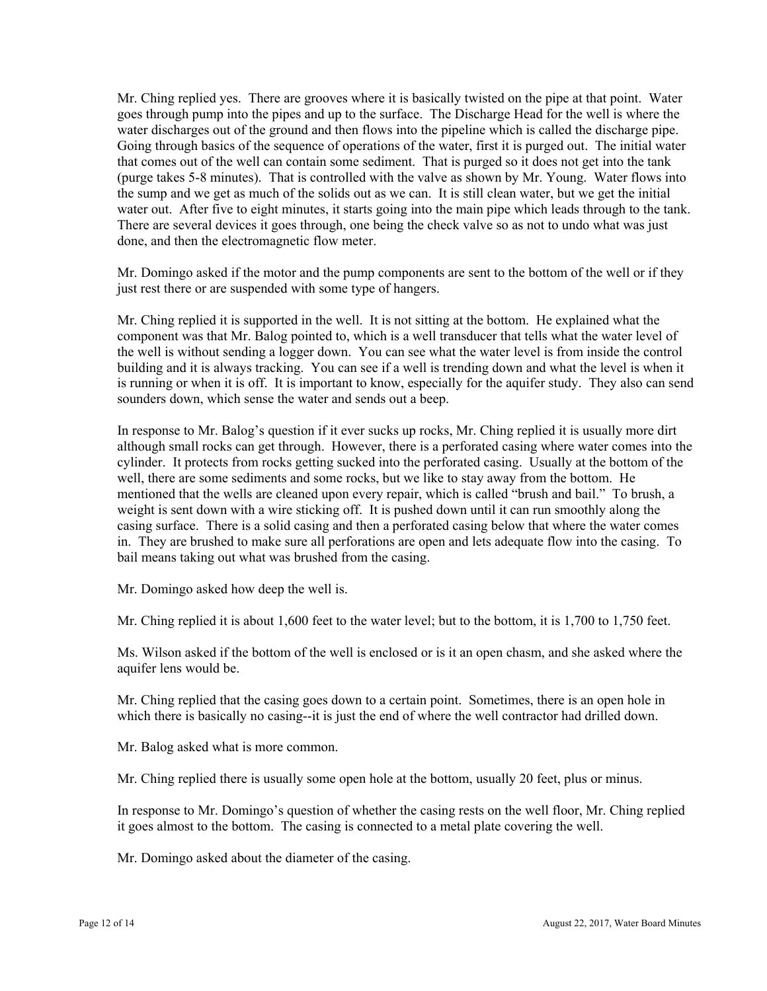Mr. Ching replied yes. There are grooves where it is basically twisted on the pipe at that point. Water goes through pump into the pipes and up to the surface. The Discharge Head for the well is where the water discharges out of the ground and then flows into the pipeline which is called the discharge pipe. Going through basics of the sequence of operations of the water, first it is purged out. The initial water that comes out of the well can contain some sediment. That is purged so it does not get into the tank (purge takes 5-8 minutes). That is controlled with the valve as shown by Mr. Young. Water flows into the sump and we get as much of the solids out as we can. It is still clean water, but we get the initial water out. After five to eight minutes, it starts going into the main pipe which leads through to the tank. There are several devices it goes through, one being the check valve so as not to undo what was just done, and then the electromagnetic flow meter.

Mr. Domingo asked if the motor and the pump components are sent to the bottom of the well or if they just rest there or are suspended with some type of hangers.

Mr. Ching replied it is supported in the well. It is not sitting at the bottom. He explained what the component was that Mr. Balog pointed to, which is a well transducer that tells what the water level of the well is without sending a logger down. You can see what the water level is from inside the control building and it is always tracking. You can see if a well is trending down and what the level is when it is running or when it is off. It is important to know, especially for the aquifer study. They also can send sounders down, which sense the water and sends out a beep.

In response to Mr. Balog's question if it ever sucks up rocks, Mr. Ching replied it is usually more dirt although small rocks can get through. However, there is a perforated casing where water comes into the cylinder. It protects from rocks getting sucked into the perforated casing. Usually at the bottom of the well, there are some sediments and some rocks, but we like to stay away from the bottom. He mentioned that the wells are cleaned upon every repair, which is called "brush and bail." To brush, a weight is sent down with a wire sticking off. It is pushed down until it can run smoothly along the casing surface. There is a solid casing and then a perforated casing below that where the water comes in. They are brushed to make sure all perforations are open and lets adequate flow into the casing. To bail means taking out what was brushed from the casing.

Mr. Domingo asked how deep the well is.

Mr. Ching replied it is about 1,600 feet to the water level; but to the bottom, it is 1,700 to 1,750 feet.

Ms. Wilson asked if the bottom of the well is enclosed or is it an open chasm, and she asked where the aquifer lens would be.

Mr. Ching replied that the casing goes down to a certain point. Sometimes, there is an open hole in which there is basically no casing--it is just the end of where the well contractor had drilled down.

Mr. Balog asked what is more common.

Mr. Ching replied there is usually some open hole at the bottom, usually 20 feet, plus or minus.

In response to Mr. Domingo's question of whether the casing rests on the well floor, Mr. Ching replied it goes almost to the bottom. The casing is connected to a metal plate covering the well.

Mr. Domingo asked about the diameter of the casing.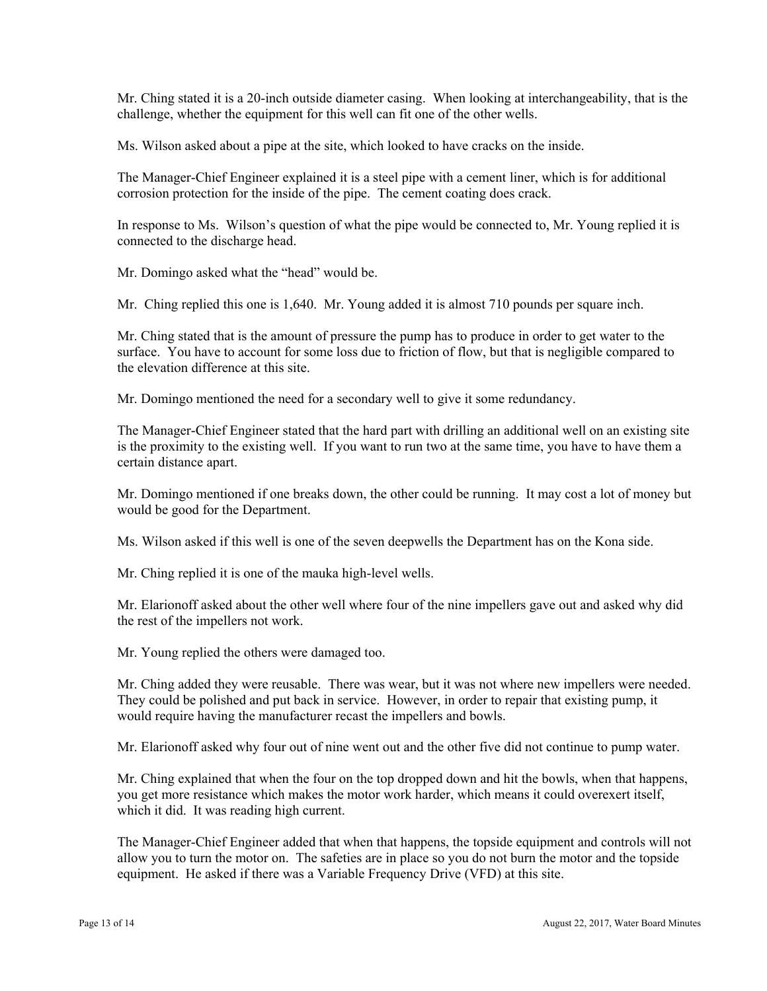Mr. Ching stated it is a 20-inch outside diameter casing. When looking at interchangeability, that is the challenge, whether the equipment for this well can fit one of the other wells.

Ms. Wilson asked about a pipe at the site, which looked to have cracks on the inside.

The Manager-Chief Engineer explained it is a steel pipe with a cement liner, which is for additional corrosion protection for the inside of the pipe. The cement coating does crack.

In response to Ms. Wilson's question of what the pipe would be connected to, Mr. Young replied it is connected to the discharge head.

Mr. Domingo asked what the "head" would be.

Mr. Ching replied this one is 1,640. Mr. Young added it is almost 710 pounds per square inch.

Mr. Ching stated that is the amount of pressure the pump has to produce in order to get water to the surface. You have to account for some loss due to friction of flow, but that is negligible compared to the elevation difference at this site.

Mr. Domingo mentioned the need for a secondary well to give it some redundancy.

The Manager-Chief Engineer stated that the hard part with drilling an additional well on an existing site is the proximity to the existing well. If you want to run two at the same time, you have to have them a certain distance apart.

Mr. Domingo mentioned if one breaks down, the other could be running. It may cost a lot of money but would be good for the Department.

Ms. Wilson asked if this well is one of the seven deepwells the Department has on the Kona side.

Mr. Ching replied it is one of the mauka high-level wells.

Mr. Elarionoff asked about the other well where four of the nine impellers gave out and asked why did the rest of the impellers not work.

Mr. Young replied the others were damaged too.

Mr. Ching added they were reusable. There was wear, but it was not where new impellers were needed. They could be polished and put back in service. However, in order to repair that existing pump, it would require having the manufacturer recast the impellers and bowls.

Mr. Elarionoff asked why four out of nine went out and the other five did not continue to pump water.

 which it did. It was reading high current. Mr. Ching explained that when the four on the top dropped down and hit the bowls, when that happens, you get more resistance which makes the motor work harder, which means it could overexert itself,

The Manager-Chief Engineer added that when that happens, the topside equipment and controls will not allow you to turn the motor on. The safeties are in place so you do not burn the motor and the topside equipment. He asked if there was a Variable Frequency Drive (VFD) at this site.